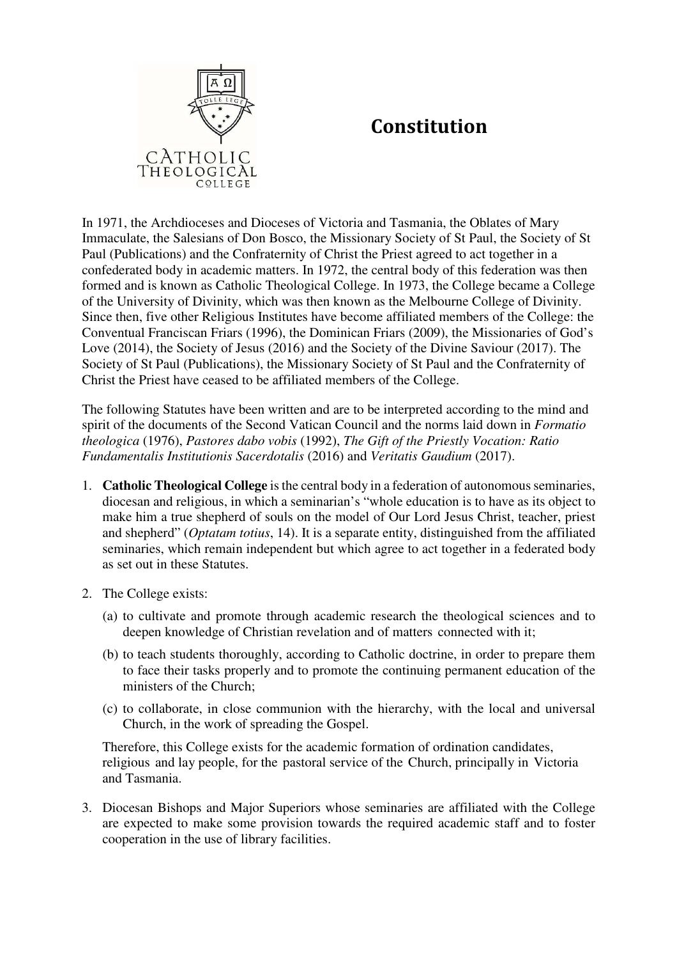

## **Constitution**

In 1971, the Archdioceses and Dioceses of Victoria and Tasmania, the Oblates of Mary Immaculate, the Salesians of Don Bosco, the Missionary Society of St Paul, the Society of St Paul (Publications) and the Confraternity of Christ the Priest agreed to act together in a confederated body in academic matters. In 1972, the central body of this federation was then formed and is known as Catholic Theological College. In 1973, the College became a College of the University of Divinity, which was then known as the Melbourne College of Divinity. Since then, five other Religious Institutes have become affiliated members of the College: the Conventual Franciscan Friars (1996), the Dominican Friars (2009), the Missionaries of God's Love (2014), the Society of Jesus (2016) and the Society of the Divine Saviour (2017). The Society of St Paul (Publications), the Missionary Society of St Paul and the Confraternity of Christ the Priest have ceased to be affiliated members of the College.

The following Statutes have been written and are to be interpreted according to the mind and spirit of the documents of the Second Vatican Council and the norms laid down in *Formatio theologica* (1976), *Pastores dabo vobis* (1992), *The Gift of the Priestly Vocation: Ratio Fundamentalis Institutionis Sacerdotalis* (2016) and *Veritatis Gaudium* (2017).

- 1. **Catholic Theological College** is the central body in a federation of autonomous seminaries, diocesan and religious, in which a seminarian's "whole education is to have as its object to make him a true shepherd of souls on the model of Our Lord Jesus Christ, teacher, priest and shepherd" (*Optatam totius*, 14). It is a separate entity, distinguished from the affiliated seminaries, which remain independent but which agree to act together in a federated body as set out in these Statutes.
- 2. The College exists:
	- (a) to cultivate and promote through academic research the theological sciences and to deepen knowledge of Christian revelation and of matters connected with it;
	- (b) to teach students thoroughly, according to Catholic doctrine, in order to prepare them to face their tasks properly and to promote the continuing permanent education of the ministers of the Church;
	- (c) to collaborate, in close communion with the hierarchy, with the local and universal Church, in the work of spreading the Gospel.

Therefore, this College exists for the academic formation of ordination candidates, religious and lay people, for the pastoral service of the Church, principally in Victoria and Tasmania.

3. Diocesan Bishops and Major Superiors whose seminaries are affiliated with the College are expected to make some provision towards the required academic staff and to foster cooperation in the use of library facilities.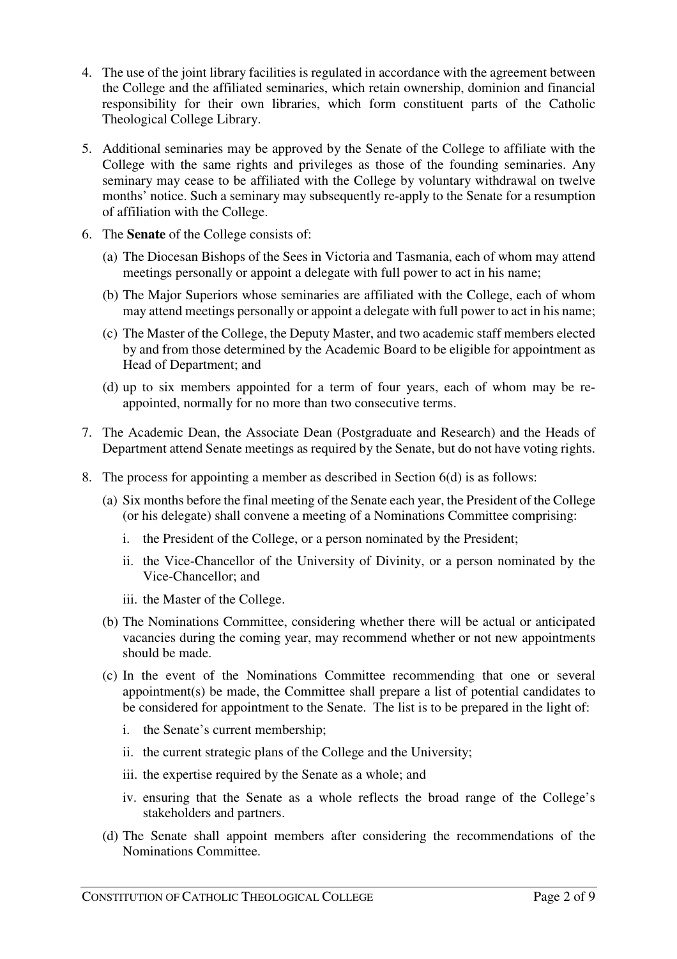- 4. The use of the joint library facilities is regulated in accordance with the agreement between the College and the affiliated seminaries, which retain ownership, dominion and financial responsibility for their own libraries, which form constituent parts of the Catholic Theological College Library.
- 5. Additional seminaries may be approved by the Senate of the College to affiliate with the College with the same rights and privileges as those of the founding seminaries. Any seminary may cease to be affiliated with the College by voluntary withdrawal on twelve months' notice. Such a seminary may subsequently re-apply to the Senate for a resumption of affiliation with the College.
- 6. The **Senate** of the College consists of:
	- (a) The Diocesan Bishops of the Sees in Victoria and Tasmania, each of whom may attend meetings personally or appoint a delegate with full power to act in his name;
	- (b) The Major Superiors whose seminaries are affiliated with the College, each of whom may attend meetings personally or appoint a delegate with full power to act in his name;
	- (c) The Master of the College, the Deputy Master, and two academic staff members elected by and from those determined by the Academic Board to be eligible for appointment as Head of Department; and
	- (d) up to six members appointed for a term of four years, each of whom may be reappointed, normally for no more than two consecutive terms.
- 7. The Academic Dean, the Associate Dean (Postgraduate and Research) and the Heads of Department attend Senate meetings as required by the Senate, but do not have voting rights.
- 8. The process for appointing a member as described in Section 6(d) is as follows:
	- (a) Six months before the final meeting of the Senate each year, the President of the College (or his delegate) shall convene a meeting of a Nominations Committee comprising:
		- i. the President of the College, or a person nominated by the President;
		- ii. the Vice-Chancellor of the University of Divinity, or a person nominated by the Vice-Chancellor; and
		- iii. the Master of the College.
	- (b) The Nominations Committee, considering whether there will be actual or anticipated vacancies during the coming year, may recommend whether or not new appointments should be made.
	- (c) In the event of the Nominations Committee recommending that one or several appointment(s) be made, the Committee shall prepare a list of potential candidates to be considered for appointment to the Senate. The list is to be prepared in the light of:
		- i. the Senate's current membership;
		- ii. the current strategic plans of the College and the University;
		- iii. the expertise required by the Senate as a whole; and
		- iv. ensuring that the Senate as a whole reflects the broad range of the College's stakeholders and partners.
	- (d) The Senate shall appoint members after considering the recommendations of the Nominations Committee.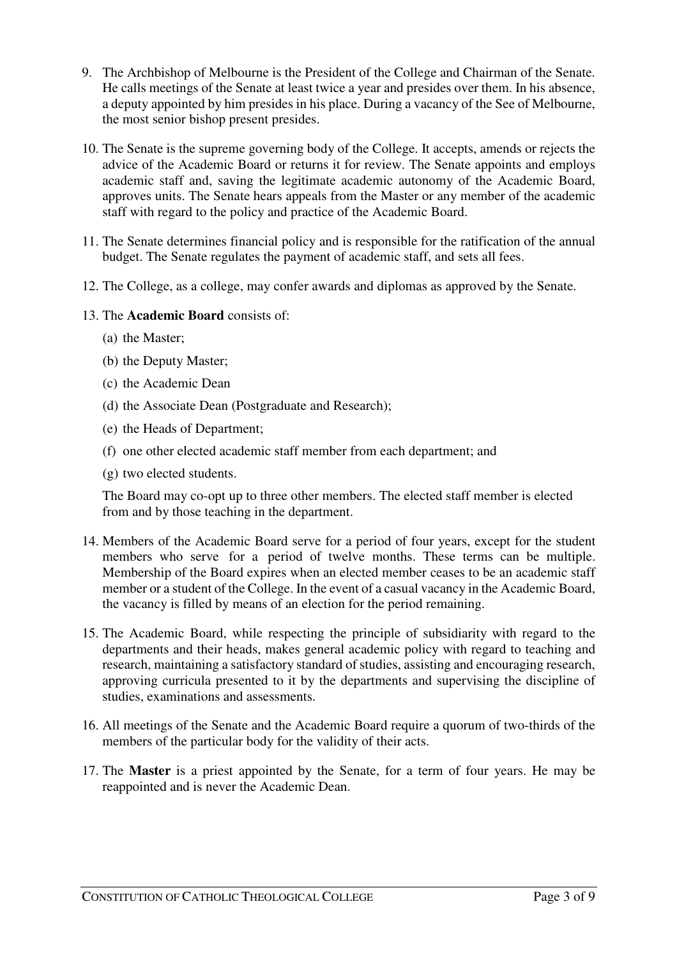- 9. The Archbishop of Melbourne is the President of the College and Chairman of the Senate. He calls meetings of the Senate at least twice a year and presides over them. In his absence, a deputy appointed by him presides in his place. During a vacancy of the See of Melbourne, the most senior bishop present presides.
- 10. The Senate is the supreme governing body of the College. It accepts, amends or rejects the advice of the Academic Board or returns it for review. The Senate appoints and employs academic staff and, saving the legitimate academic autonomy of the Academic Board, approves units. The Senate hears appeals from the Master or any member of the academic staff with regard to the policy and practice of the Academic Board.
- 11. The Senate determines financial policy and is responsible for the ratification of the annual budget. The Senate regulates the payment of academic staff, and sets all fees.
- 12. The College, as a college, may confer awards and diplomas as approved by the Senate.
- 13. The **Academic Board** consists of:
	- (a) the Master;
	- (b) the Deputy Master;
	- (c) the Academic Dean
	- (d) the Associate Dean (Postgraduate and Research);
	- (e) the Heads of Department;
	- (f) one other elected academic staff member from each department; and
	- (g) two elected students.

The Board may co-opt up to three other members. The elected staff member is elected from and by those teaching in the department.

- 14. Members of the Academic Board serve for a period of four years, except for the student members who serve for a period of twelve months. These terms can be multiple. Membership of the Board expires when an elected member ceases to be an academic staff member or a student of the College. In the event of a casual vacancy in the Academic Board, the vacancy is filled by means of an election for the period remaining.
- 15. The Academic Board, while respecting the principle of subsidiarity with regard to the departments and their heads, makes general academic policy with regard to teaching and research, maintaining a satisfactory standard of studies, assisting and encouraging research, approving curricula presented to it by the departments and supervising the discipline of studies, examinations and assessments.
- 16. All meetings of the Senate and the Academic Board require a quorum of two-thirds of the members of the particular body for the validity of their acts.
- 17. The **Master** is a priest appointed by the Senate, for a term of four years. He may be reappointed and is never the Academic Dean.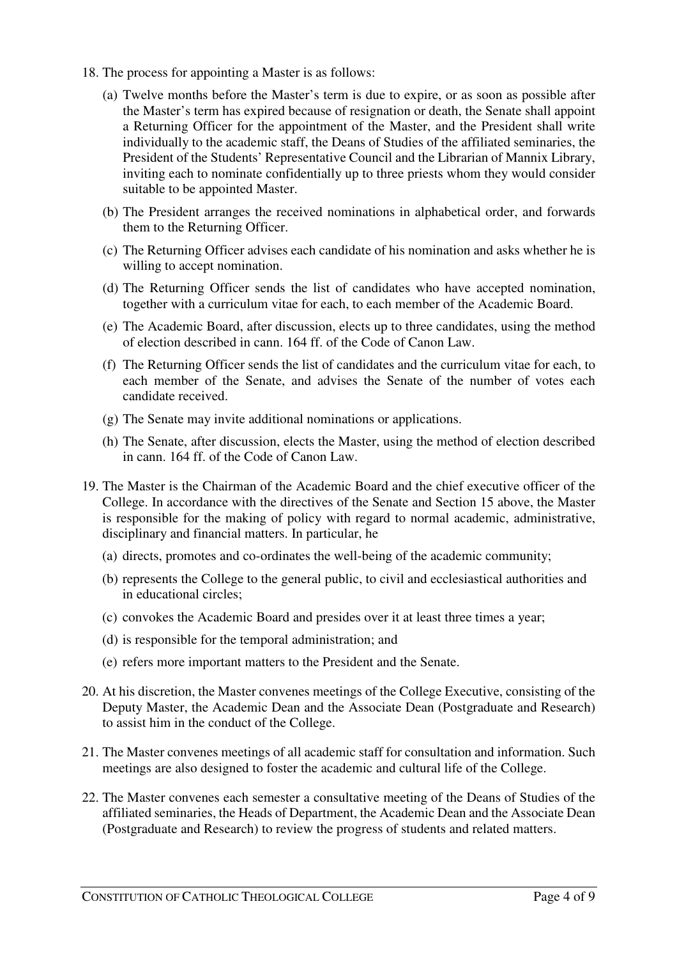- 18. The process for appointing a Master is as follows:
	- (a) Twelve months before the Master's term is due to expire, or as soon as possible after the Master's term has expired because of resignation or death, the Senate shall appoint a Returning Officer for the appointment of the Master, and the President shall write individually to the academic staff, the Deans of Studies of the affiliated seminaries, the President of the Students' Representative Council and the Librarian of Mannix Library, inviting each to nominate confidentially up to three priests whom they would consider suitable to be appointed Master.
	- (b) The President arranges the received nominations in alphabetical order, and forwards them to the Returning Officer.
	- (c) The Returning Officer advises each candidate of his nomination and asks whether he is willing to accept nomination.
	- (d) The Returning Officer sends the list of candidates who have accepted nomination, together with a curriculum vitae for each, to each member of the Academic Board.
	- (e) The Academic Board, after discussion, elects up to three candidates, using the method of election described in cann. 164 ff. of the Code of Canon Law.
	- (f) The Returning Officer sends the list of candidates and the curriculum vitae for each, to each member of the Senate, and advises the Senate of the number of votes each candidate received.
	- (g) The Senate may invite additional nominations or applications.
	- (h) The Senate, after discussion, elects the Master, using the method of election described in cann. 164 ff. of the Code of Canon Law.
- 19. The Master is the Chairman of the Academic Board and the chief executive officer of the College. In accordance with the directives of the Senate and Section 15 above, the Master is responsible for the making of policy with regard to normal academic, administrative, disciplinary and financial matters. In particular, he
	- (a) directs, promotes and co-ordinates the well-being of the academic community;
	- (b) represents the College to the general public, to civil and ecclesiastical authorities and in educational circles;
	- (c) convokes the Academic Board and presides over it at least three times a year;
	- (d) is responsible for the temporal administration; and
	- (e) refers more important matters to the President and the Senate.
- 20. At his discretion, the Master convenes meetings of the College Executive, consisting of the Deputy Master, the Academic Dean and the Associate Dean (Postgraduate and Research) to assist him in the conduct of the College.
- 21. The Master convenes meetings of all academic staff for consultation and information. Such meetings are also designed to foster the academic and cultural life of the College.
- 22. The Master convenes each semester a consultative meeting of the Deans of Studies of the affiliated seminaries, the Heads of Department, the Academic Dean and the Associate Dean (Postgraduate and Research) to review the progress of students and related matters.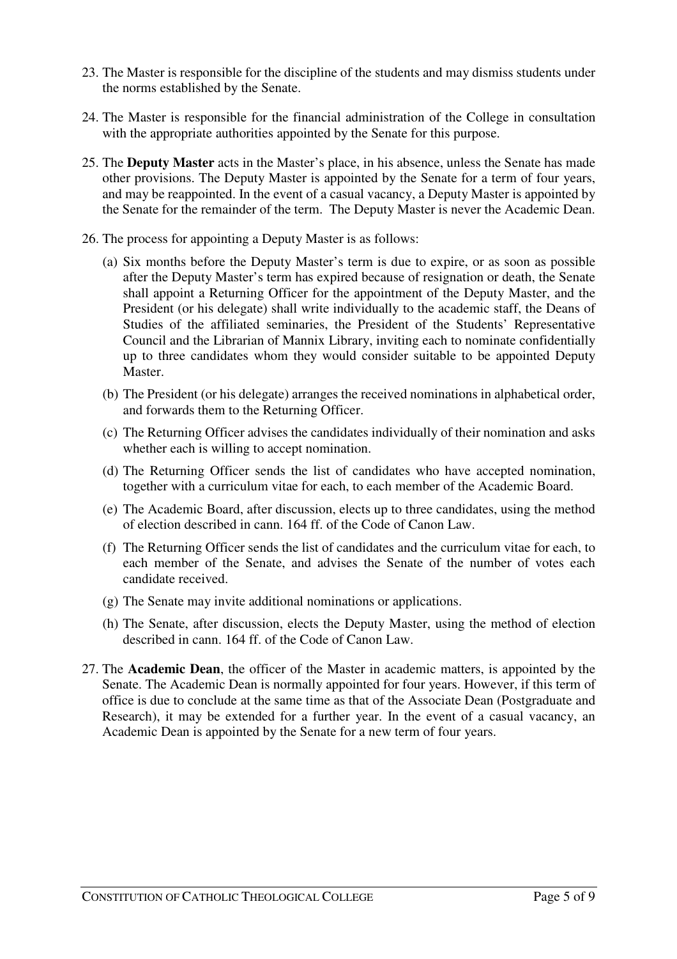- 23. The Master is responsible for the discipline of the students and may dismiss students under the norms established by the Senate.
- 24. The Master is responsible for the financial administration of the College in consultation with the appropriate authorities appointed by the Senate for this purpose.
- 25. The **Deputy Master** acts in the Master's place, in his absence, unless the Senate has made other provisions. The Deputy Master is appointed by the Senate for a term of four years, and may be reappointed. In the event of a casual vacancy, a Deputy Master is appointed by the Senate for the remainder of the term. The Deputy Master is never the Academic Dean.
- 26. The process for appointing a Deputy Master is as follows:
	- (a) Six months before the Deputy Master's term is due to expire, or as soon as possible after the Deputy Master's term has expired because of resignation or death, the Senate shall appoint a Returning Officer for the appointment of the Deputy Master, and the President (or his delegate) shall write individually to the academic staff, the Deans of Studies of the affiliated seminaries, the President of the Students' Representative Council and the Librarian of Mannix Library, inviting each to nominate confidentially up to three candidates whom they would consider suitable to be appointed Deputy Master.
	- (b) The President (or his delegate) arranges the received nominations in alphabetical order, and forwards them to the Returning Officer.
	- (c) The Returning Officer advises the candidates individually of their nomination and asks whether each is willing to accept nomination.
	- (d) The Returning Officer sends the list of candidates who have accepted nomination, together with a curriculum vitae for each, to each member of the Academic Board.
	- (e) The Academic Board, after discussion, elects up to three candidates, using the method of election described in cann. 164 ff. of the Code of Canon Law.
	- (f) The Returning Officer sends the list of candidates and the curriculum vitae for each, to each member of the Senate, and advises the Senate of the number of votes each candidate received.
	- (g) The Senate may invite additional nominations or applications.
	- (h) The Senate, after discussion, elects the Deputy Master, using the method of election described in cann. 164 ff. of the Code of Canon Law.
- 27. The **Academic Dean**, the officer of the Master in academic matters, is appointed by the Senate. The Academic Dean is normally appointed for four years. However, if this term of office is due to conclude at the same time as that of the Associate Dean (Postgraduate and Research), it may be extended for a further year. In the event of a casual vacancy, an Academic Dean is appointed by the Senate for a new term of four years.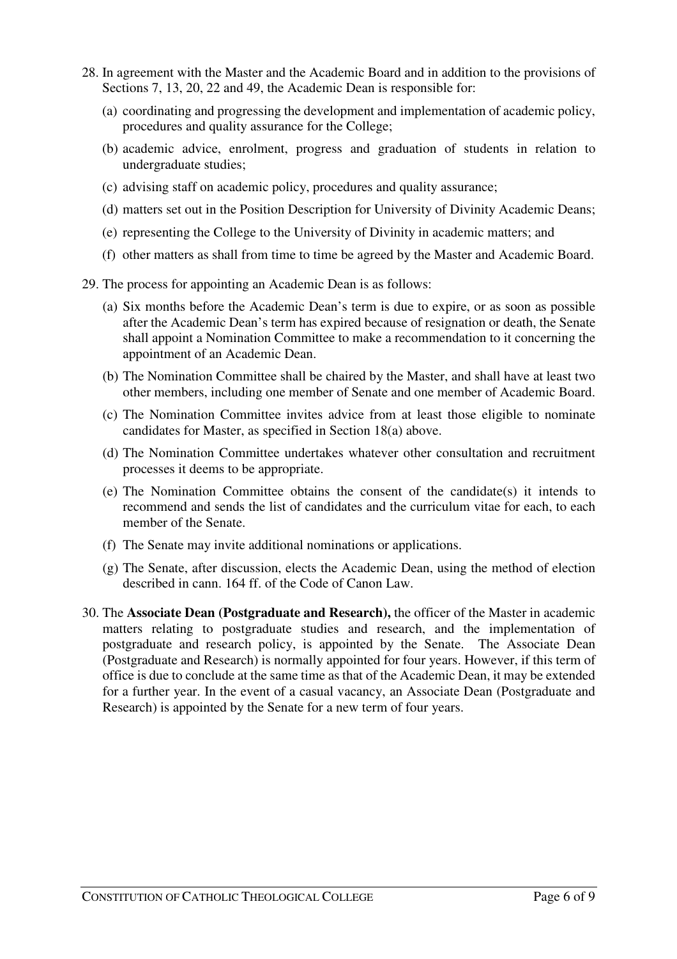- 28. In agreement with the Master and the Academic Board and in addition to the provisions of Sections 7, 13, 20, 22 and 49, the Academic Dean is responsible for:
	- (a) coordinating and progressing the development and implementation of academic policy, procedures and quality assurance for the College;
	- (b) academic advice, enrolment, progress and graduation of students in relation to undergraduate studies;
	- (c) advising staff on academic policy, procedures and quality assurance;
	- (d) matters set out in the Position Description for University of Divinity Academic Deans;
	- (e) representing the College to the University of Divinity in academic matters; and
	- (f) other matters as shall from time to time be agreed by the Master and Academic Board.
- 29. The process for appointing an Academic Dean is as follows:
	- (a) Six months before the Academic Dean's term is due to expire, or as soon as possible after the Academic Dean's term has expired because of resignation or death, the Senate shall appoint a Nomination Committee to make a recommendation to it concerning the appointment of an Academic Dean.
	- (b) The Nomination Committee shall be chaired by the Master, and shall have at least two other members, including one member of Senate and one member of Academic Board.
	- (c) The Nomination Committee invites advice from at least those eligible to nominate candidates for Master, as specified in Section 18(a) above.
	- (d) The Nomination Committee undertakes whatever other consultation and recruitment processes it deems to be appropriate.
	- (e) The Nomination Committee obtains the consent of the candidate(s) it intends to recommend and sends the list of candidates and the curriculum vitae for each, to each member of the Senate.
	- (f) The Senate may invite additional nominations or applications.
	- (g) The Senate, after discussion, elects the Academic Dean, using the method of election described in cann. 164 ff. of the Code of Canon Law.
- 30. The **Associate Dean (Postgraduate and Research),** the officer of the Master in academic matters relating to postgraduate studies and research, and the implementation of postgraduate and research policy, is appointed by the Senate. The Associate Dean (Postgraduate and Research) is normally appointed for four years. However, if this term of office is due to conclude at the same time as that of the Academic Dean, it may be extended for a further year. In the event of a casual vacancy, an Associate Dean (Postgraduate and Research) is appointed by the Senate for a new term of four years.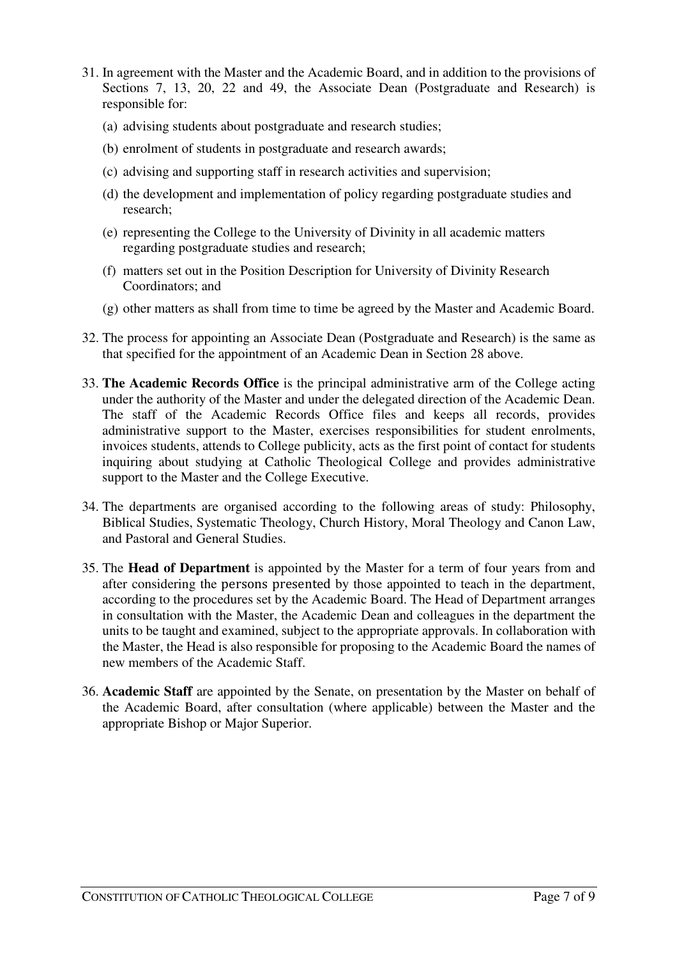- 31. In agreement with the Master and the Academic Board, and in addition to the provisions of Sections 7, 13, 20, 22 and 49, the Associate Dean (Postgraduate and Research) is responsible for:
	- (a) advising students about postgraduate and research studies;
	- (b) enrolment of students in postgraduate and research awards;
	- (c) advising and supporting staff in research activities and supervision;
	- (d) the development and implementation of policy regarding postgraduate studies and research;
	- (e) representing the College to the University of Divinity in all academic matters regarding postgraduate studies and research;
	- (f) matters set out in the Position Description for University of Divinity Research Coordinators; and
	- (g) other matters as shall from time to time be agreed by the Master and Academic Board.
- 32. The process for appointing an Associate Dean (Postgraduate and Research) is the same as that specified for the appointment of an Academic Dean in Section 28 above.
- 33. **The Academic Records Office** is the principal administrative arm of the College acting under the authority of the Master and under the delegated direction of the Academic Dean. The staff of the Academic Records Office files and keeps all records, provides administrative support to the Master, exercises responsibilities for student enrolments, invoices students, attends to College publicity, acts as the first point of contact for students inquiring about studying at Catholic Theological College and provides administrative support to the Master and the College Executive.
- 34. The departments are organised according to the following areas of study: Philosophy, Biblical Studies, Systematic Theology, Church History, Moral Theology and Canon Law, and Pastoral and General Studies.
- 35. The **Head of Department** is appointed by the Master for a term of four years from and after considering the persons presented by those appointed to teach in the department, according to the procedures set by the Academic Board. The Head of Department arranges in consultation with the Master, the Academic Dean and colleagues in the department the units to be taught and examined, subject to the appropriate approvals. In collaboration with the Master, the Head is also responsible for proposing to the Academic Board the names of new members of the Academic Staff.
- 36. **Academic Staff** are appointed by the Senate, on presentation by the Master on behalf of the Academic Board, after consultation (where applicable) between the Master and the appropriate Bishop or Major Superior.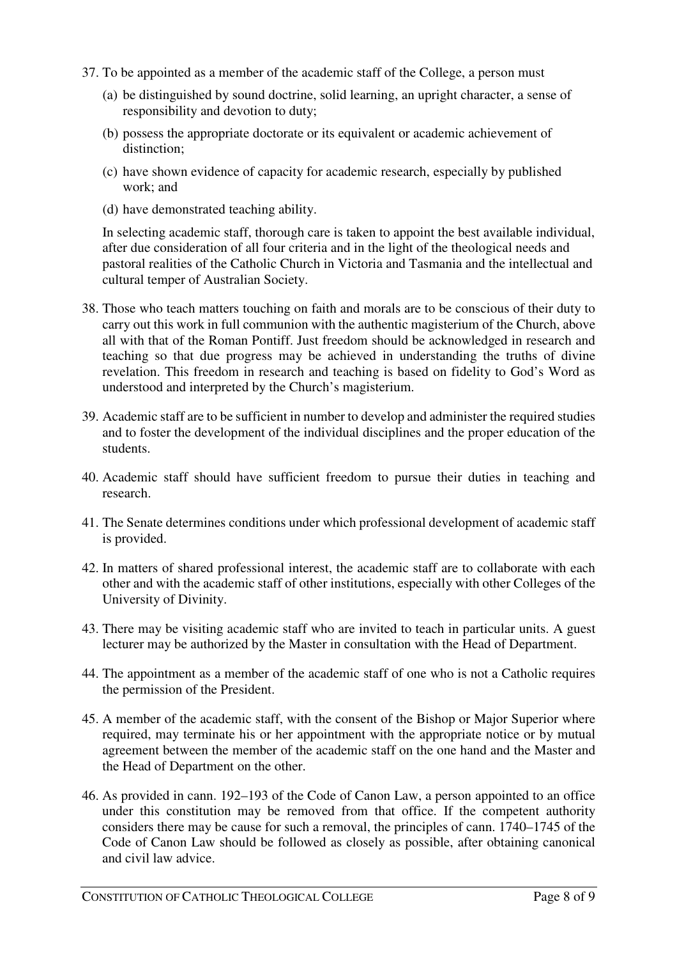- 37. To be appointed as a member of the academic staff of the College, a person must
	- (a) be distinguished by sound doctrine, solid learning, an upright character, a sense of responsibility and devotion to duty;
	- (b) possess the appropriate doctorate or its equivalent or academic achievement of distinction;
	- (c) have shown evidence of capacity for academic research, especially by published work; and
	- (d) have demonstrated teaching ability.

In selecting academic staff, thorough care is taken to appoint the best available individual, after due consideration of all four criteria and in the light of the theological needs and pastoral realities of the Catholic Church in Victoria and Tasmania and the intellectual and cultural temper of Australian Society.

- 38. Those who teach matters touching on faith and morals are to be conscious of their duty to carry out this work in full communion with the authentic magisterium of the Church, above all with that of the Roman Pontiff. Just freedom should be acknowledged in research and teaching so that due progress may be achieved in understanding the truths of divine revelation. This freedom in research and teaching is based on fidelity to God's Word as understood and interpreted by the Church's magisterium.
- 39. Academic staff are to be sufficient in number to develop and administer the required studies and to foster the development of the individual disciplines and the proper education of the students.
- 40. Academic staff should have sufficient freedom to pursue their duties in teaching and research.
- 41. The Senate determines conditions under which professional development of academic staff is provided.
- 42. In matters of shared professional interest, the academic staff are to collaborate with each other and with the academic staff of other institutions, especially with other Colleges of the University of Divinity.
- 43. There may be visiting academic staff who are invited to teach in particular units. A guest lecturer may be authorized by the Master in consultation with the Head of Department.
- 44. The appointment as a member of the academic staff of one who is not a Catholic requires the permission of the President.
- 45. A member of the academic staff, with the consent of the Bishop or Major Superior where required, may terminate his or her appointment with the appropriate notice or by mutual agreement between the member of the academic staff on the one hand and the Master and the Head of Department on the other.
- 46. As provided in cann. 192–193 of the Code of Canon Law, a person appointed to an office under this constitution may be removed from that office. If the competent authority considers there may be cause for such a removal, the principles of cann. 1740–1745 of the Code of Canon Law should be followed as closely as possible, after obtaining canonical and civil law advice.